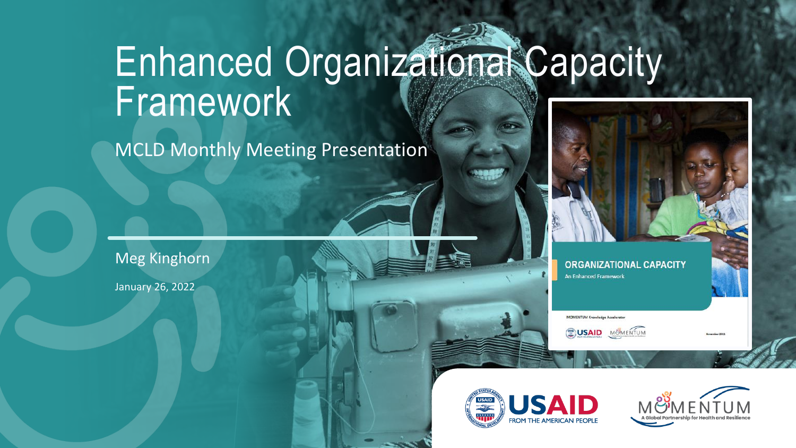# Enhanced Organizational Capacity Framework

MCLD Monthly Meeting Presentation

Meg Kinghorn

January 26, 2022



**ORGANIZATIONAL CAPACITY** An Enhanced Framework

**MOMENTUM Knowledge Accelerator** 

**SUSAID** MUMENTUM



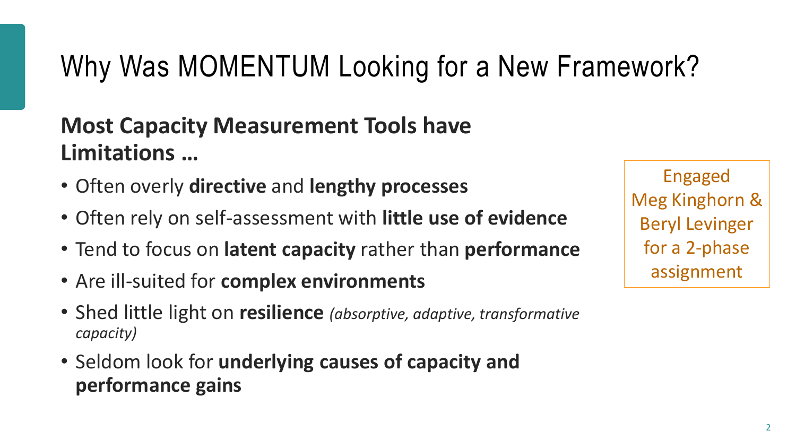## Why Was MOMENTUM Looking for a New Framework?

### **Most Capacity Measurement Tools have Limitations …**

- Often overly **directive** and **lengthy processes**
- Often rely on self-assessment with **little use of evidence**
- Tend to focus on **latent capacity** rather than **performance**
- Are ill-suited for **complex environments**
- Shed little light on **resilience** *(absorptive, adaptive, transformative capacity)*
- Seldom look for **underlying causes of capacity and performance gains**

Engaged Meg Kinghorn & Beryl Levinger for a 2-phase assignment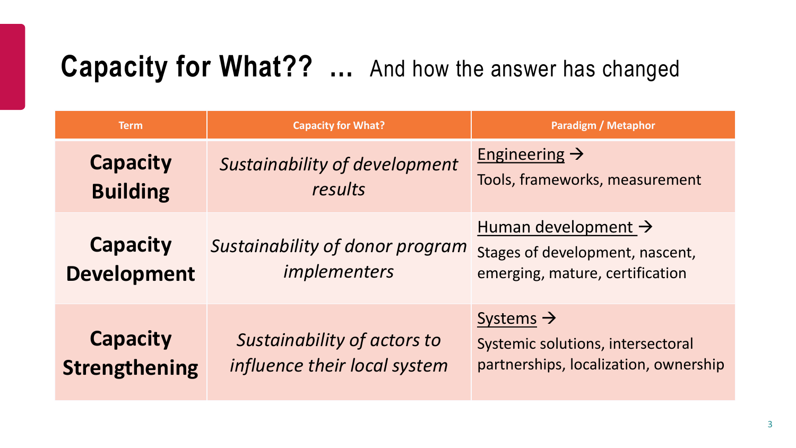## **Capacity for What?? …** And how the answer has changed

| <b>Term</b>                             | <b>Capacity for What?</b>                                   | <b>Paradigm / Metaphor</b>                                                                          |
|-----------------------------------------|-------------------------------------------------------------|-----------------------------------------------------------------------------------------------------|
| <b>Capacity</b><br><b>Building</b>      | Sustainability of development<br>results                    | Engineering $\rightarrow$<br>Tools, frameworks, measurement                                         |
| <b>Capacity</b><br><b>Development</b>   | Sustainability of donor program<br>implementers             | Human development ><br>Stages of development, nascent,<br>emerging, mature, certification           |
| <b>Capacity</b><br><b>Strengthening</b> | Sustainability of actors to<br>influence their local system | Systems $\rightarrow$<br>Systemic solutions, intersectoral<br>partnerships, localization, ownership |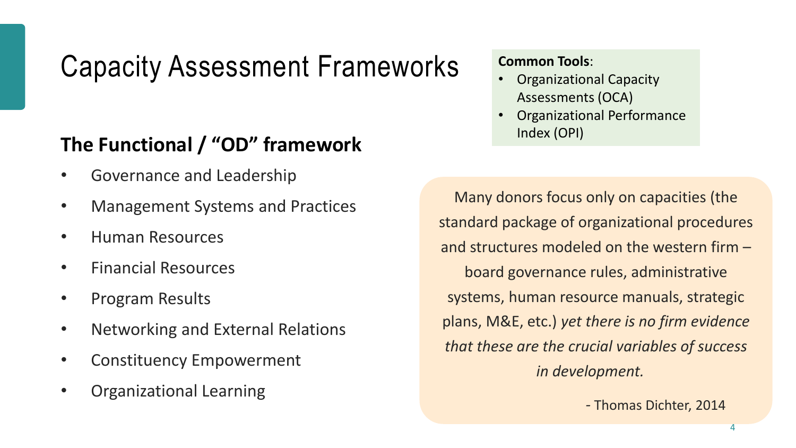### Capacity Assessment Frameworks

### **The Functional / "OD" framework**

- Governance and Leadership
- Management Systems and Practices
- Human Resources
- Financial Resources
- Program Results
- Networking and External Relations
- Constituency Empowerment
- Organizational Learning

**Common Tools**:

- Organizational Capacity Assessments (OCA)
- Organizational Performance Index (OPI)

Many donors focus only on capacities (the standard package of organizational procedures and structures modeled on the western firm – board governance rules, administrative systems, human resource manuals, strategic plans, M&E, etc.) *yet there is no firm evidence that these are the crucial variables of success in development.*

*-* Thomas Dichter, 2014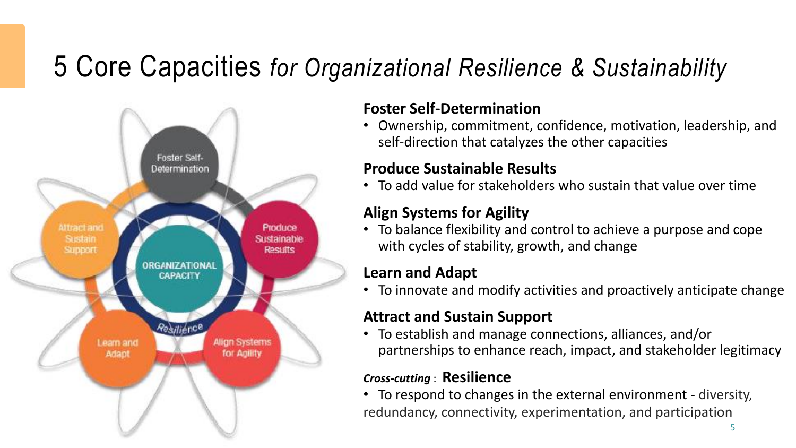### 5 Core Capacities *for Organizational Resilience & Sustainability*



#### **Foster Self-Determination**

• Ownership, commitment, confidence, motivation, leadership, and self-direction that catalyzes the other capacities

#### **Produce Sustainable Results**

• To add value for stakeholders who sustain that value over time

#### **Align Systems for Agility**

• To balance flexibility and control to achieve a purpose and cope with cycles of stability, growth, and change

#### **Learn and Adapt**

• To innovate and modify activities and proactively anticipate change

#### **Attract and Sustain Support**

• To establish and manage connections, alliances, and/or partnerships to enhance reach, impact, and stakeholder legitimacy

#### *Cross-cutting* : **Resilience**

• To respond to changes in the external environment - diversity, redundancy, connectivity, experimentation, and participation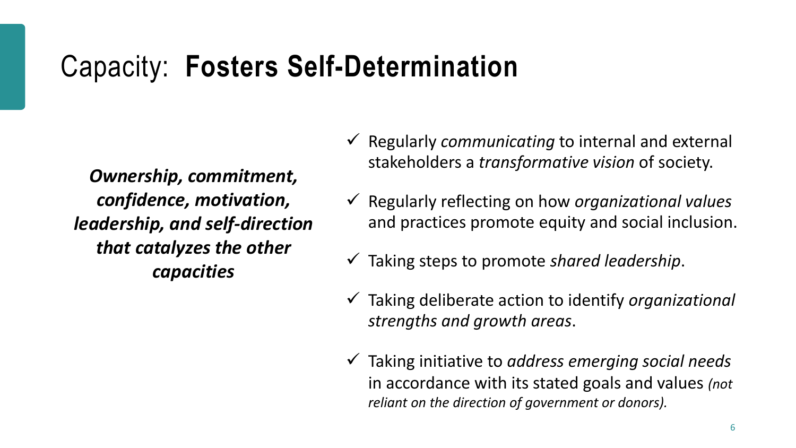### Capacity: **Fosters Self-Determination**

*Ownership, commitment, confidence, motivation, leadership, and self-direction that catalyzes the other capacities*

- ✓ Regularly *communicating* to internal and external stakeholders a *transformative vision* of society.
- ✓ Regularly reflecting on how *organizational values*  and practices promote equity and social inclusion.
- ✓ Taking steps to promote *shared leadership*.
- ✓ Taking deliberate action to identify *organizational strengths and growth areas*.
- ✓ Taking initiative to *address emerging social needs*  in accordance with its stated goals and values *(not reliant on the direction of government or donors).*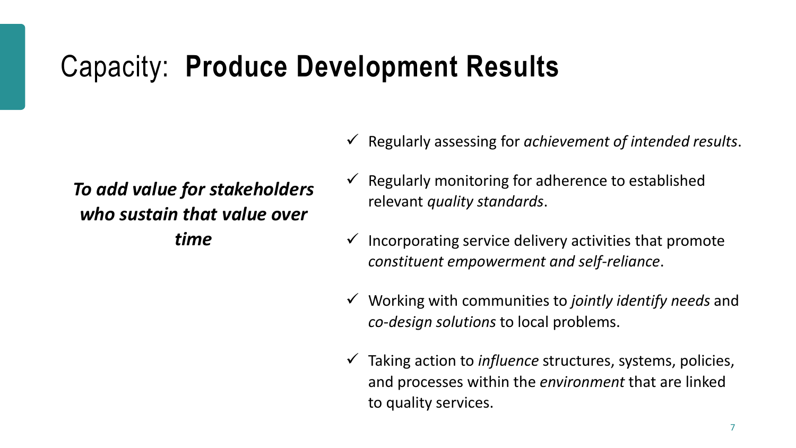### Capacity: **Produce Development Results**

### *To add value for stakeholders who sustain that value over time*

- ✓ Regularly assessing for *achievement of intended results*.
- $\checkmark$  Regularly monitoring for adherence to established relevant *quality standards*.
- $\checkmark$  Incorporating service delivery activities that promote *constituent empowerment and self-reliance*.
- ✓ Working with communities to *jointly identify needs* and *co-design solutions* to local problems.
- ✓ Taking action to *influence* structures, systems, policies, and processes within the *environment* that are linked to quality services.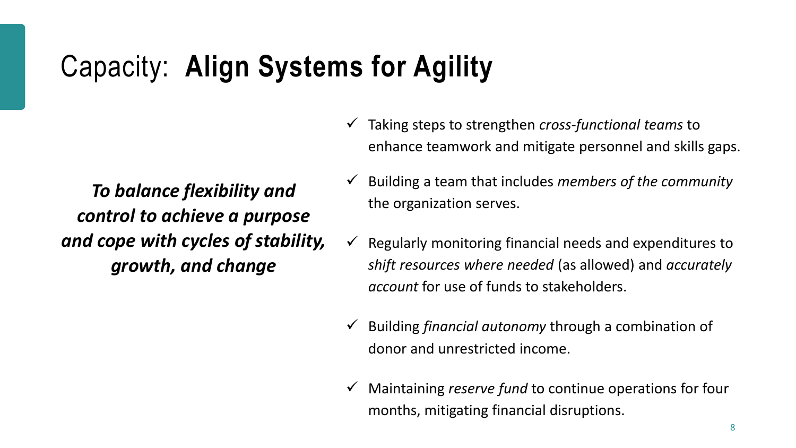### Capacity: **Align Systems for Agility**

*To balance flexibility and control to achieve a purpose and cope with cycles of stability, growth, and change*

- ✓ Taking steps to strengthen *cross-functional teams* to enhance teamwork and mitigate personnel and skills gaps.
- ✓ Building a team that includes *members of the community*  the organization serves.
- $\checkmark$  Regularly monitoring financial needs and expenditures to *shift resources where needed* (as allowed) and *accurately account* for use of funds to stakeholders.
- ✓ Building *financial autonomy* through a combination of donor and unrestricted income.
- ✓ Maintaining *reserve fund* to continue operations for four months, mitigating financial disruptions.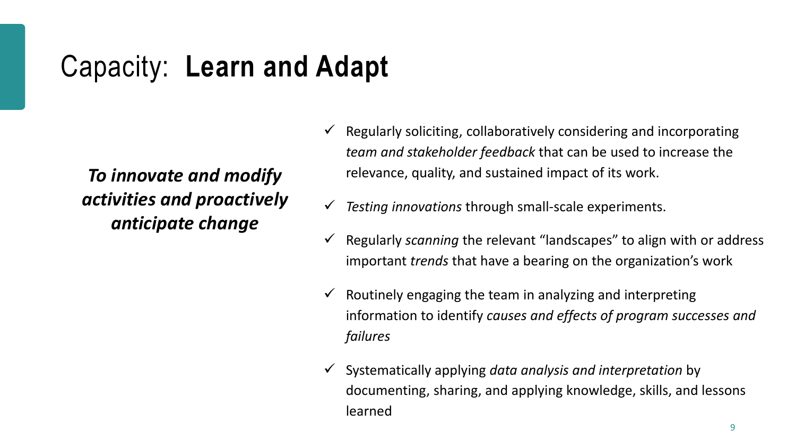### Capacity: **Learn and Adapt**

*To innovate and modify activities and proactively anticipate change*

- $\checkmark$  Regularly soliciting, collaboratively considering and incorporating *team and stakeholder feedback* that can be used to increase the relevance, quality, and sustained impact of its work.
- *Testing innovations* through small-scale experiments.
- ✓ Regularly *scanning* the relevant "landscapes" to align with or address important *trends* that have a bearing on the organization's work
- $\checkmark$  Routinely engaging the team in analyzing and interpreting information to identify *causes and effects of program successes and failures*
- ✓ Systematically applying *data analysis and interpretation* by documenting, sharing, and applying knowledge, skills, and lessons learned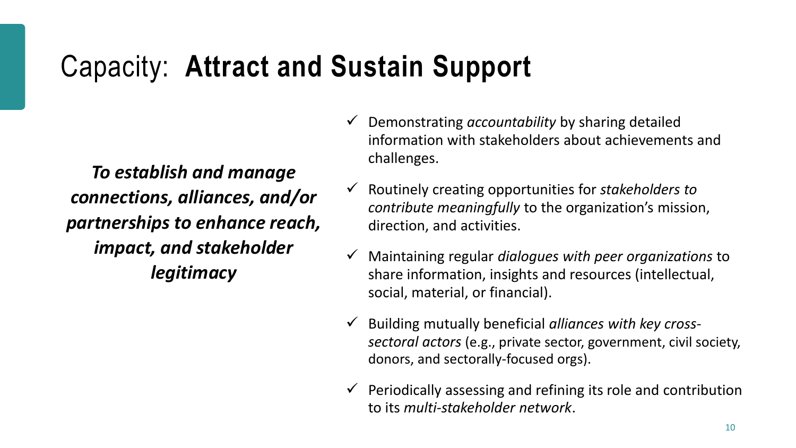### Capacity: **Attract and Sustain Support**

*To establish and manage connections, alliances, and/or partnerships to enhance reach, impact, and stakeholder legitimacy*

- ✓ Demonstrating *accountability* by sharing detailed information with stakeholders about achievements and challenges.
- ✓ Routinely creating opportunities for *stakeholders to contribute meaningfully* to the organization's mission, direction, and activities.
- ✓ Maintaining regular *dialogues with peer organizations* to share information, insights and resources (intellectual, social, material, or financial).
- ✓ Building mutually beneficial *alliances with key crosssectoral actors* (e.g., private sector, government, civil society, donors, and sectorally-focused orgs).
- $\checkmark$  Periodically assessing and refining its role and contribution to its *multi-stakeholder network*.